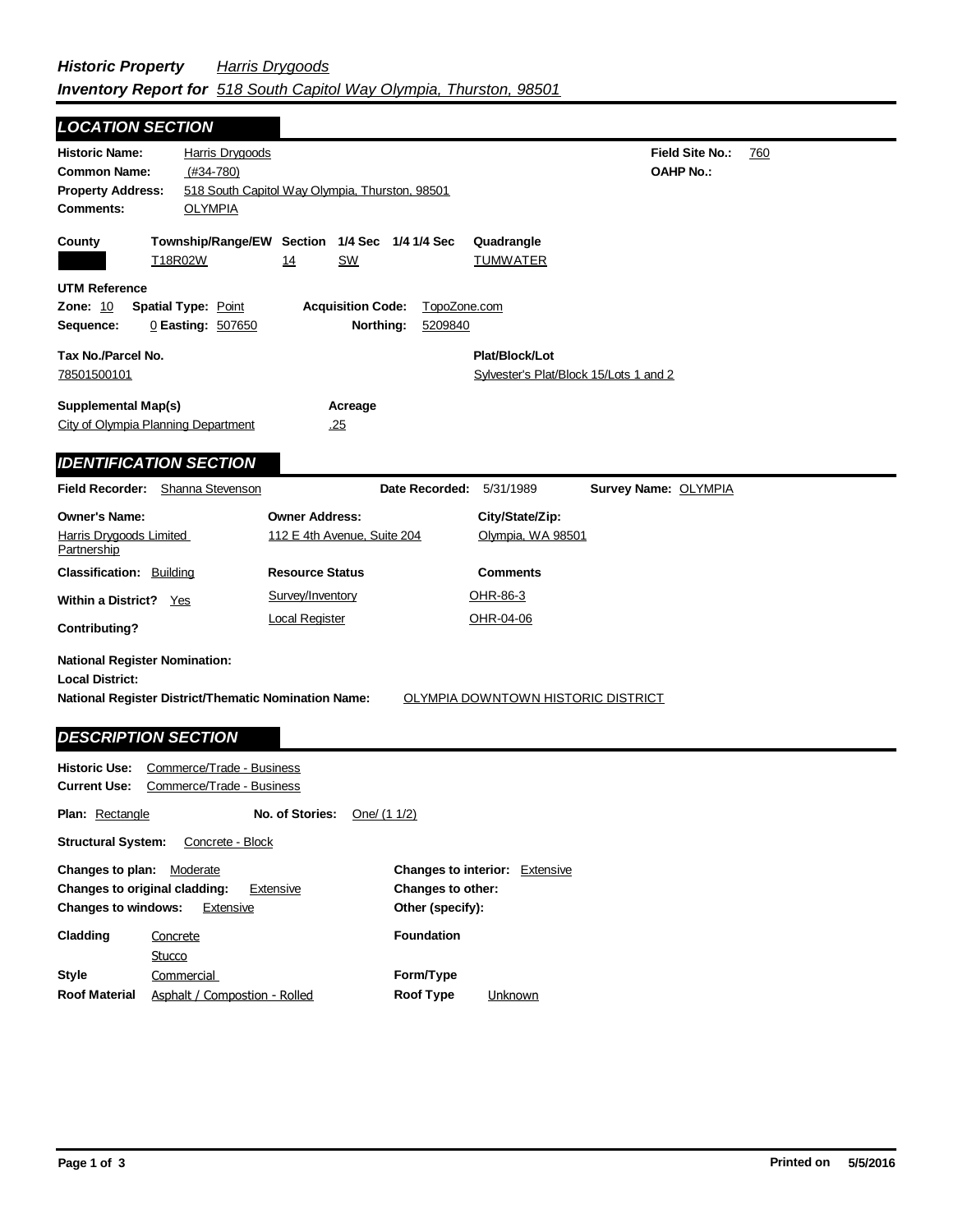| <b>LOCATION SECTION</b>                                                                                                                                                                                  |                                                  |                                                           |                                 |                                                          |                                            |     |
|----------------------------------------------------------------------------------------------------------------------------------------------------------------------------------------------------------|--------------------------------------------------|-----------------------------------------------------------|---------------------------------|----------------------------------------------------------|--------------------------------------------|-----|
| <b>Historic Name:</b><br><b>Common Name:</b><br><b>Property Address:</b><br><b>Comments:</b>                                                                                                             | Harris Drygoods<br>$(#34-780)$<br><b>OLYMPIA</b> | 518 South Capitol Way Olympia, Thurston, 98501            |                                 |                                                          | <b>Field Site No.:</b><br><b>OAHP No.:</b> | 760 |
| County                                                                                                                                                                                                   | T18R02W                                          | Township/Range/EW Section 1/4 Sec 1/4 1/4 Sec<br>14<br>SW |                                 | Quadrangle<br><b>TUMWATER</b>                            |                                            |     |
| <b>UTM Reference</b><br><b>Acquisition Code:</b><br><b>Zone: 10</b><br><b>Spatial Type: Point</b><br>TopoZone.com<br>Northing:<br>Sequence:<br>0 Easting: 507650<br>5209840                              |                                                  |                                                           |                                 |                                                          |                                            |     |
| Tax No./Parcel No.<br>78501500101                                                                                                                                                                        |                                                  |                                                           |                                 | Plat/Block/Lot<br>Sylvester's Plat/Block 15/Lots 1 and 2 |                                            |     |
| <b>Supplemental Map(s)</b><br>Acreage<br>City of Olympia Planning Department<br>.25                                                                                                                      |                                                  |                                                           |                                 |                                                          |                                            |     |
| <b>IDENTIFICATION SECTION</b>                                                                                                                                                                            |                                                  |                                                           |                                 |                                                          |                                            |     |
| Field Recorder: Shanna Stevenson                                                                                                                                                                         |                                                  |                                                           | <b>Date Recorded: 5/31/1989</b> |                                                          | <b>Survey Name: OLYMPIA</b>                |     |
| <b>Owner's Name:</b><br>Harris Drygoods Limited<br><b>Partnership</b>                                                                                                                                    |                                                  | <b>Owner Address:</b><br>112 E 4th Avenue, Suite 204      |                                 | City/State/Zip:<br>Olympia, WA 98501                     |                                            |     |
| <b>Classification: Building</b>                                                                                                                                                                          |                                                  | <b>Resource Status</b>                                    |                                 | <b>Comments</b>                                          |                                            |     |
| Within a District? Yes                                                                                                                                                                                   |                                                  | Survey/Inventory                                          |                                 | OHR-86-3                                                 |                                            |     |
| <b>Contributing?</b>                                                                                                                                                                                     |                                                  | <b>Local Register</b>                                     |                                 | OHR-04-06                                                |                                            |     |
| <b>National Register Nomination:</b><br><b>Local District:</b><br><b>National Register District/Thematic Nomination Name:</b><br><u>OLYMPIA DOWNTOWN HISTORIC DISTRICT</u><br><b>DESCRIPTION SECTION</b> |                                                  |                                                           |                                 |                                                          |                                            |     |
| <b>Historic Use:</b><br>Commerce/Trade - Business<br><b>Current Use:</b><br>Commerce/Trade - Business                                                                                                    |                                                  |                                                           |                                 |                                                          |                                            |     |
| No. of Stories:<br><b>Plan: Rectangle</b><br>One/ (1 1/2)                                                                                                                                                |                                                  |                                                           |                                 |                                                          |                                            |     |
| <b>Structural System:</b><br>Concrete - Block                                                                                                                                                            |                                                  |                                                           |                                 |                                                          |                                            |     |
| <b>Changes to plan:</b>                                                                                                                                                                                  | Moderate                                         |                                                           |                                 | <b>Changes to interior:</b> Extensive                    |                                            |     |

| Unany <del>c</del> s to plan.        | <b>IVIUUCI ALC</b>            | Changes to merror. Extensive       |
|--------------------------------------|-------------------------------|------------------------------------|
| <b>Changes to original cladding:</b> | Extensive                     | Changes to other:                  |
| <b>Changes to windows:</b>           | Extensive                     | Other (specify):                   |
| Cladding                             | Concrete                      | <b>Foundation</b>                  |
|                                      | Stucco                        |                                    |
| <b>Style</b>                         | Commercial                    | Form/Type                          |
| <b>Roof Material</b>                 | Asphalt / Compostion - Rolled | <b>Roof Type</b><br><b>Unknown</b> |
|                                      |                               |                                    |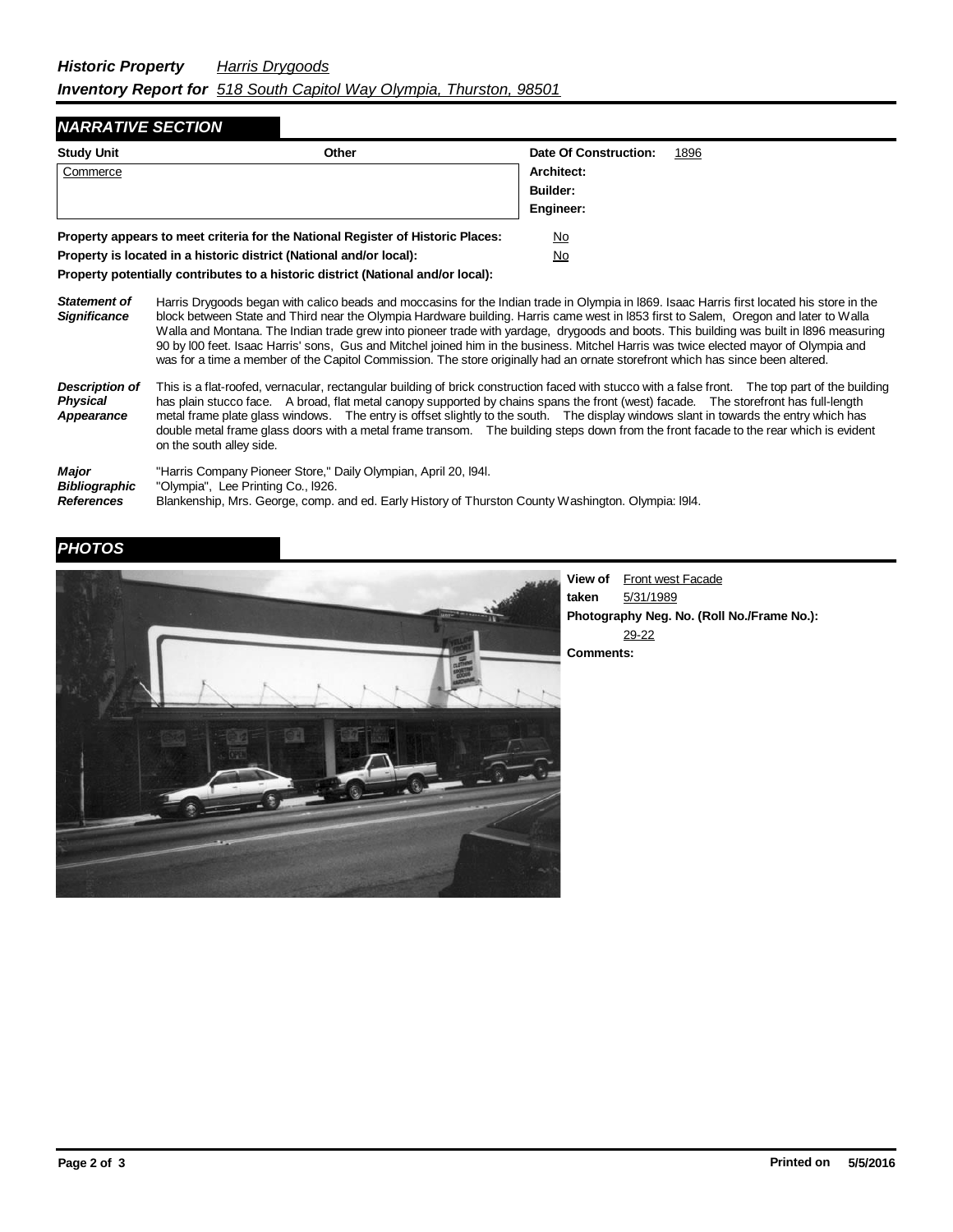## *NARRATIVE SECTION*

| <b>Study Unit</b>                                                               | Other     | Date Of Construction: | 1896 |
|---------------------------------------------------------------------------------|-----------|-----------------------|------|
| Commerce                                                                        |           | Architect:            |      |
|                                                                                 |           | <b>Builder:</b>       |      |
|                                                                                 |           | Engineer:             |      |
| Property appears to meet criteria for the National Register of Historic Places: | No        |                       |      |
| Property is located in a historic district (National and/or local):             | <u>No</u> |                       |      |

**Property potentially contributes to a historic district (National and/or local):**

*Statement of Significance* Harris Drygoods began with calico beads and moccasins for the Indian trade in Olympia in l869. Isaac Harris first located his store in the block between State and Third near the Olympia Hardware building. Harris came west in l853 first to Salem, Oregon and later to Walla Walla and Montana. The Indian trade grew into pioneer trade with yardage, drygoods and boots. This building was built in l896 measuring 90 by l00 feet. Isaac Harris' sons, Gus and Mitchel joined him in the business. Mitchel Harris was twice elected mayor of Olympia and was for a time a member of the Capitol Commission. The store originally had an ornate storefront which has since been altered.

*Description of Physical Appearance* This is a flat-roofed, vernacular, rectangular building of brick construction faced with stucco with a false front. The top part of the building has plain stucco face. A broad, flat metal canopy supported by chains spans the front (west) facade. The storefront has full-length metal frame plate glass windows. The entry is offset slightly to the south. The display windows slant in towards the entry which has double metal frame glass doors with a metal frame transom. The building steps down from the front facade to the rear which is evident on the south alley side.

| <b>Major</b>      | "Harris Company Pioneer Store," Daily Olympian, April 20, 1941.                                     |
|-------------------|-----------------------------------------------------------------------------------------------------|
| Bibliographic     | "Olympia", Lee Printing Co., l926.                                                                  |
| <b>References</b> | Blankenship, Mrs. George, comp. and ed. Early History of Thurston County Washington. Olympia: 1914. |

## *PHOTOS*



**View of** Front west Facade **taken** 5/31/1989 **Photography Neg. No. (Roll No./Frame No.):** 29-22 **Comments:**